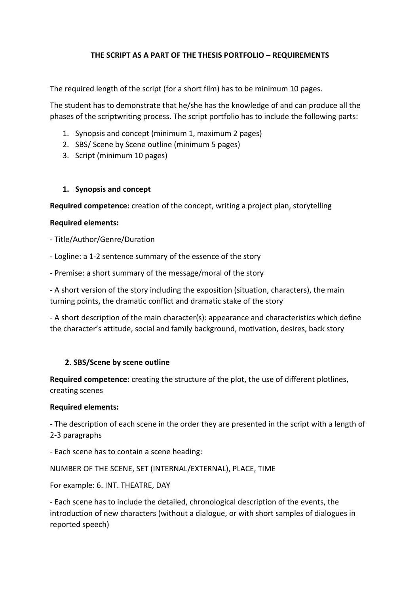# **THE SCRIPT AS A PART OF THE THESIS PORTFOLIO – REQUIREMENTS**

The required length of the script (for a short film) has to be minimum 10 pages.

The student has to demonstrate that he/she has the knowledge of and can produce all the phases of the scriptwriting process. The script portfolio has to include the following parts:

- 1. Synopsis and concept (minimum 1, maximum 2 pages)
- 2. SBS/ Scene by Scene outline (minimum 5 pages)
- 3. Script (minimum 10 pages)

### **1. Synopsis and concept**

**Required competence:** creation of the concept, writing a project plan, storytelling

### **Required elements:**

- Title/Author/Genre/Duration
- Logline: a 1-2 sentence summary of the essence of the story
- Premise: a short summary of the message/moral of the story

- A short version of the story including the exposition (situation, characters), the main turning points, the dramatic conflict and dramatic stake of the story

- A short description of the main character(s): appearance and characteristics which define the character's attitude, social and family background, motivation, desires, back story

# **2. SBS/Scene by scene outline**

**Required competence:** creating the structure of the plot, the use of different plotlines, creating scenes

#### **Required elements:**

- The description of each scene in the order they are presented in the script with a length of 2-3 paragraphs

- Each scene has to contain a scene heading:

NUMBER OF THE SCENE, SET (INTERNAL/EXTERNAL), PLACE, TIME

For example: 6. INT. THEATRE, DAY

- Each scene has to include the detailed, chronological description of the events, the introduction of new characters (without a dialogue, or with short samples of dialogues in reported speech)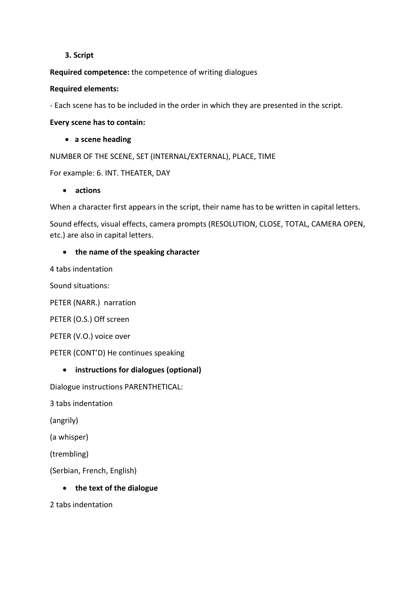### **3. Script**

**Required competence:** the competence of writing dialogues

### **Required elements:**

- Each scene has to be included in the order in which they are presented in the script.

**Every scene has to contain:**

• **a scene heading**

NUMBER OF THE SCENE, SET (INTERNAL/EXTERNAL), PLACE, TIME

For example: 6. INT. THEATER, DAY

### • **actions**

When a character first appears in the script, their name has to be written in capital letters.

Sound effects, visual effects, camera prompts (RESOLUTION, CLOSE, TOTAL, CAMERA OPEN, etc.) are also in capital letters.

# • **the name of the speaking character**

4 tabs indentation

Sound situations:

PETER (NARR.) narration

PETER (O.S.) Off screen

PETER (V.O.) voice over

PETER (CONT'D) He continues speaking

# • **instructions for dialogues (optional)**

Dialogue instructions PARENTHETICAL:

3 tabs indentation

(angrily)

(a whisper)

(trembling)

(Serbian, French, English)

• **the text of the dialogue** 

2 tabs indentation